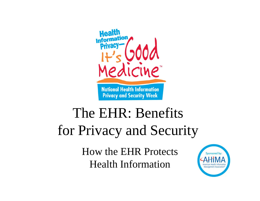

## The EHR: Benefits for Privacy and Security

How the EHR Protects Health Information

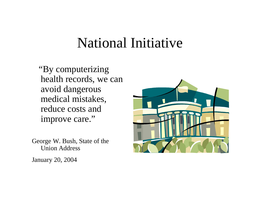#### National Initiative

"By computerizing health records, we can avoid dangerous medical mistakes, reduce costs and improve care."

George W. Bush, State of the Union Address

January 20, 2004

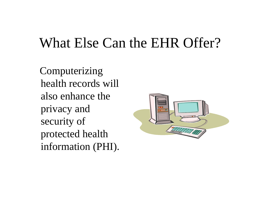## What Else Can the EHR Offer?

Computerizing health records will also enhance the privacy and security of protected health information (PHI).

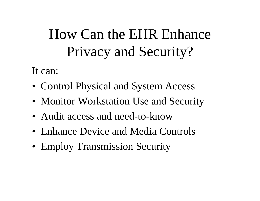# How Can the EHR Enhance Privacy and Security?

It can:

- Control Physical and System Access
- Monitor Workstation Use and Security
- Audit access and need-to-know
- Enhance Device and Media Controls
- Employ Transmission Security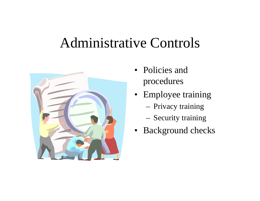#### Administrative Controls



- Policies and procedures
- Employee training
	- Privacy training
	- Security training
- Background checks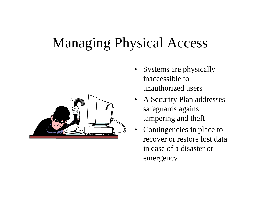## Managing Physical Access



- Systems are physically inaccessible to unauthorized users
- A Security Plan addresses safeguards against tampering and theft
- •Contingencies in place to recover or restore lost data in case of a disaster or emergency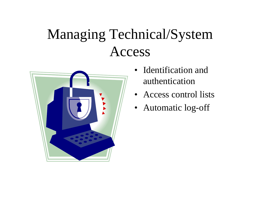# Managing Technical/System Access



- •Identification and authentication
- Access control lists
- Automatic log-off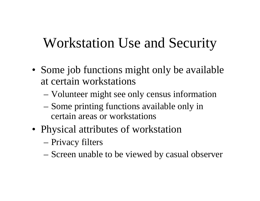## Workstation Use and Security

- Some job functions might only be available at certain workstations
	- Volunteer might see only census information
	- Some printing functions available only in certain areas or workstations
- Physical attributes of workstation
	- Privacy filters
	- Screen unable to be viewed by casual observer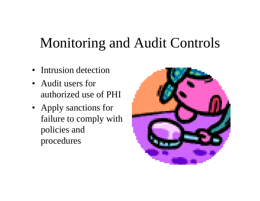## Monitoring and Audit Controls

- Intrusion detection
- Audit users for authorized use of PHI
- Apply sanctions for failure to comply with policies and procedures

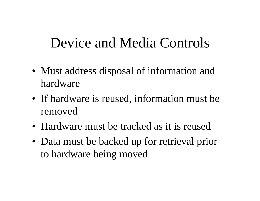## Device and Media Controls

- Must address disposal of information and hardware
- If hardware is reused, information must be removed
- Hardware must be tracked as it is reused
- Data must be backed up for retrieval prior to hardware being moved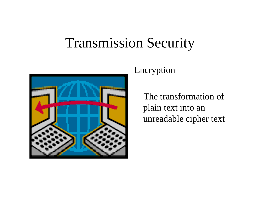## Transmission Security



#### Encryption

The transformation of plain text into an unreadable cipher text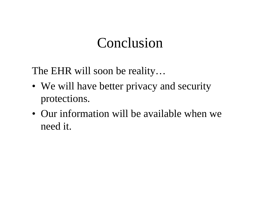#### Conclusion

The EHR will soon be reality…

- We will have better privacy and security protections.
- Our information will be available when we need it.